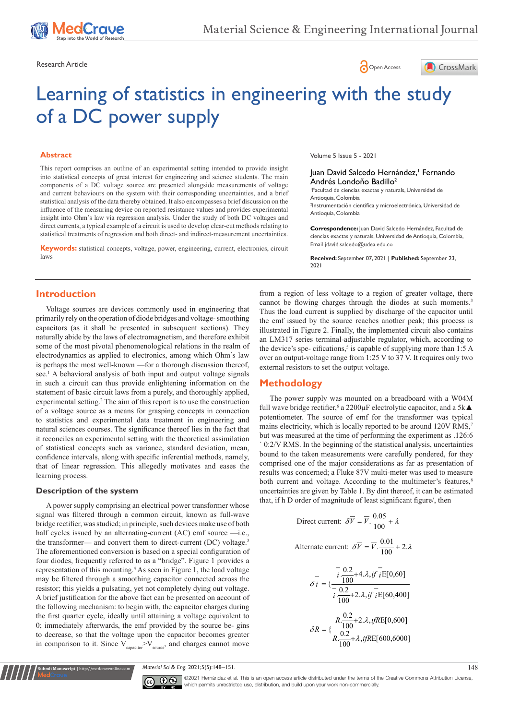





# Learning of statistics in engineering with the study of a DC power supply

#### **Abstract**

This report comprises an outline of an experimental setting intended to provide insight into statistical concepts of great interest for engineering and science students. The main components of a DC voltage source are presented alongside measurements of voltage and current behaviours on the system with their corresponding uncertainties, and a brief statistical analysis of the data thereby obtained. It also encompasses a brief discussion on the influence of the measuring device on reported resistance values and provides experimental insight into Ohm's law via regression analysis. Under the study of both DC voltages and direct currents, a typical example of a circuit is used to develop clear-cut methods relating to statistical treatments of regression and both direct- and indirect-measurement uncertainties.

**Keywords:** statistical concepts, voltage, power, engineering, current, electronics, circuit laws

Volume 5 Issue 5 - 2021

## Juan David Salcedo Hernández,' Fernando Andrés Londoño Badillo<sup>2</sup>

1 Facultad de ciencias exactas y naturals, Universidad de Antioquia, Colombia 2 Instrumentación científica y microelectrónica, Universidad de Antioquia, Colombia

**Correspondence:** Juan David Salcedo Hernández, Facultad de ciencias exactas y naturals, Universidad de Antioquia, Colombia, Email jdavid.salcedo@udea.edu.co

**Received:** September 07, 2021 | **Published:** September 23, 2021

## **Introduction**

Voltage sources are devices commonly used in engineering that primarily rely on the operation of diode bridges and voltage- smoothing capacitors (as it shall be presented in subsequent sections). They naturally abide by the laws of electromagnetism, and therefore exhibit some of the most pivotal phenomenological relations in the realm of electrodynamics as applied to electronics, among which Ohm's law is perhaps the most well-known —for a thorough discussion thereof, see.<sup>1</sup> A behavioral analysis of both input and output voltage signals in such a circuit can thus provide enlightening information on the statement of basic circuit laws from a purely, and thoroughly applied, experimental setting.<sup>2</sup> The aim of this report is to use the construction of a voltage source as a means for grasping concepts in connection to statistics and experimental data treatment in engineering and natural sciences courses. The significance thereof lies in the fact that it reconciles an experimental setting with the theoretical assimilation of statistical concepts such as variance, standard deviation, mean, confidence intervals, along with specific inferential methods, namely, that of linear regression. This allegedly motivates and eases the learning process.

#### **Description of the system**

**It Manuscript** | http://medcraveonline.com

A power supply comprising an electrical power transformer whose signal was filtered through a common circuit, known as full-wave bridge rectifier, was studied; in principle, such devices make use of both half cycles issued by an alternating-current (AC) emf source -i.e., the transformer— and convert them to direct-current (DC) voltage.<sup>3</sup> The aforementioned conversion is based on a special configuration of four diodes, frequently referred to as a "bridge". Figure 1 provides a representation of this mounting.4 As seen in Figure 1, the load voltage may be filtered through a smoothing capacitor connected across the resistor; this yields a pulsating, yet not completely dying out voltage. A brief justification for the above fact can be presented on account of the following mechanism: to begin with, the capacitor charges during the first quarter cycle, ideally until attaining a voltage equivalent to 0; immediately afterwards, the emf provided by the source be- gins to decrease, so that the voltage upon the capacitor becomes greater in comparison to it. Since  $V_{\text{conacitor}} > V_{\text{source}}$ , and charges cannot move

from a region of less voltage to a region of greater voltage, there cannot be flowing charges through the diodes at such moments.<sup>3</sup> Thus the load current is supplied by discharge of the capacitor until the emf issued by the source reaches another peak; this process is illustrated in Figure 2. Finally, the implemented circuit also contains an LM317 series terminal-adjustable regulator, which, according to the device's spe- cifications,<sup>5</sup> is capable of supplying more than  $1:5 A$ over an output-voltage range from 1:25 V to 37 V. It requires only two external resistors to set the output voltage.

## **Methodology**

The power supply was mounted on a breadboard with a W04M full wave bridge rectifier,<sup>6</sup> a 2200 $\mu$ F electrolytic capacitor, and a 5k $\blacktriangle$ potentiometer. The source of emf for the transformer was typical mains electricity, which is locally reported to be around 120V RMS,<sup>7</sup> but was measured at the time of performing the experiment as .126:6 ˙ 0:2/V RMS. In the beginning of the statistical analysis, uncertainties bound to the taken measurements were carefully pondered, for they comprised one of the major considerations as far as presentation of results was concerned; a Fluke 87V multi-meter was used to measure both current and voltage. According to the multimeter's features,<sup>8</sup> uncertainties are given by Table 1. By dint thereof, it can be estimated that, if h D order of magnitude of least significant figure/, then

Direct current: 
$$
\delta \overline{V} = \overline{V} \cdot \frac{0.05}{100} + \lambda
$$

Alternate current: 
$$
\delta \overline{V} = \overline{V} \cdot \frac{0.01}{100} + 2 \cdot \lambda
$$

$$
\delta \overline{t} = \{ \frac{i \cdot \frac{0.2}{100} + 4 \cdot \lambda, i \cdot f \cdot \overline{E[0,60]}}{i \cdot \frac{0.2}{100} + 2 \cdot \lambda, i \cdot f \cdot \overline{E[60,400]}} \}
$$
\n
$$
\delta R = \{ \frac{R \cdot \frac{0.2}{100} + 2 \cdot \lambda, i \cdot f \cdot \overline{E[0,600]}}{R \cdot \frac{0.2}{100} + \lambda, i \cdot f \cdot \overline{E[600,6000]}} \}
$$

*Material Sci & Eng.* 2021;5(5):148‒151. 148



 $\overline{\mathbf{G}}$   $\overline{\mathbf{G}}$   $\odot$  2021 Hernández et al. This is an open access article distributed under the terms of the [Creative Commons Attribution License](https://creativecommons.org/licenses/by-nc/4.0/), which permits unrestricted use, distribution, and build upon your work non-commercially.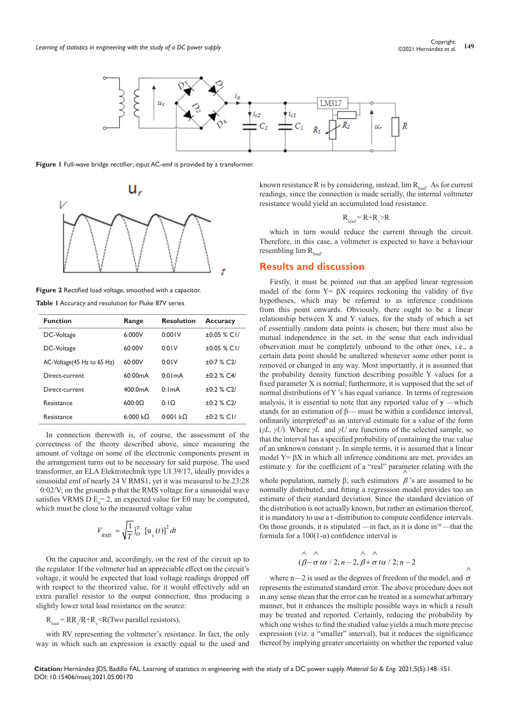

**Figure 1 Full-wave bridge rectifier; input AC-emf is provided by a transformer.** 



**Figure 2** Rectified load voltage, smoothed with a capacitor.

**Table 1** Accuracy and resolution for Fluke 87V series

| <b>Function</b>             | Range           | <b>Resolution</b> | <b>Accuracy</b>              |
|-----------------------------|-----------------|-------------------|------------------------------|
| DC-Voltage                  | 6:000V          | 0:001V            | $+0.05 \times C1/$           |
| DC-Voltage                  | 60:00V          | 0:01V             | $\pm 0.05$ % CI/             |
| AC-Voltage (45 Hz to 65 Hz) | 60:00V          | 0:01V             | $±0:7$ % C2/                 |
| Direct-current              | 60:00mA         | $0:0$ ImA         | $+0.2 \times C4$             |
| Direct-current              | 400:0mA         | 0:ImA             | $\pm 0.2$ % C <sub>2</sub> / |
| Resistance                  | 600:00          | $0:1$ $\Omega$    | $\pm 0.2$ % C <sub>2</sub> / |
| Resistance                  | $6:000 k\Omega$ | 0:001 kO          | $±0:2$ % CI/                 |

In connection therewith is, of course, the assessment of the correctness of the theory described above, since measuring the amount of voltage on some of the electronic components present in the arrangement turns out to be necessary for said purpose. The used transformer, an ELA Elektrotechnik type UI 39/17, ideally provides a sinusoidal emf of nearly 24 V RMS1, yet it was measured to be.23:28 ˙ 0:02/V; on the grounds p that the RMS voltage for a sinusoidal wave satisfies VRMS D  $E_0 = 2$ , an expected value for E0 may be computed, which must be close to the measured voltage value

$$
V_{RMS} = \sqrt{\frac{1}{T}} \int_0^T \left[ \mathbf{u}_s(t) \right]^2 dt
$$

On the capacitor and, accordingly, on the rest of the circuit up to the regulator. If the voltmeter had an appreciable effect on the circuit's voltage, it would be expected that load voltage readings dropped off with respect to the theorized value, for it would effectively add an extra parallel resistor to the output connection, thus producing a slightly lower total load resistance on the source:

 $R_{load} = RR_{v}/R + R_{v} < R$ (Two parallel resistors),

with RV representing the voltmeter's resistance. In fact, the only way in which such an expression is exactly equal to the used and known resistance R is by considering, instead,  $\lim R_{load}$ . As for current readings, since the connection is made serially, the internal voltmeter resistance would yield an accumulated load resistance.

$$
R_{\text{load}} = R + R_v > R
$$

which in turn would reduce the current through the circuit. Therefore, in this case, a voltmeter is expected to have a behaviour resembling  $\lim R_{\text{last}}$ .

#### **Results and discussion**

Firstly, it must be pointed out that an applied linear regression model of the form  $Y = \beta X$  requires reckoning the validity of five hypotheses, which may be referred to as inference conditions from this point onwards. Obviously, there ought to be a linear relationship between X and Y values, for the study of which a set of essentially random data points is chosen; but there must also be mutual independence in the set, in the sense that each individual observation must be completely unbound to the other ones, i.e., a certain data point should be unaltered whenever some other point is removed or changed in any way. Most importantly, it is assumed that the probability density function describing possible Y values for a fixed parameter X is normal; furthermore, it is supposed that the set of normal distributions of Y 's has equal variance. In terms of regression analysis, it is essential to note that any reported value of **y** —which stands for an estimation of  $\beta$ — must be within a confidence interval, ordinarily interpreted<sup>9</sup> as an interval estimate for a value of the form (*γL, γU*). Where *γL* and *γU* are functions of the selected sample, so that the interval has a specified probability of containing the true value of an unknown constant *γ*. In simple terms, it is assumed that a linear model  $Y = \beta X$  in which all inference conditions are met, provides an estimate y for the coefficient of a "real" parameter relating with the

whole population, namely  $\beta$ ; such estimators  $\beta$ 's are assumed to be normally distributed, and fitting a regression model provides too an estimate of their standard deviation. Since the standard deviation of the distribution is not actually known, but rather an estimation thereof, it is mandatory to use a t -distribution to compute confidence intervals. On those grounds, it is stipulated —in fact, as it is done in $10$ —that the formula for a 100(1-α) confidence interval is

$$
\wedge \wedge \wedge
$$
  
( $\beta - \sigma \, t\alpha / 2; n - 2, \beta + \sigma \, t\alpha / 2; n - 2$ 

where n—2 is used as the degrees of freedom of the model, and  $\sigma$ represents the estimated standard error. The above procedure does not in any sense mean that the error can be treated in a somewhat arbitrary manner, but it enhances the multiple possible ways in which a result may be treated and reported. Certainly, reducing the probability by which one wishes to find the studied value yields a much more precise expression (viz. a "smaller" interval), but it reduces the significance thereof by implying greater uncertainty on whether the reported value

**Citation:** Hernández JDS, Badillo FAL. Learning of statistics in engineering with the study of a DC power supply. *Material Sci & Eng.* 2021;5(5):148‒151. DOI: [10.15406/mseij.2021.05.00170](https://doi.org/10.15406/mseij.2021.05.00170)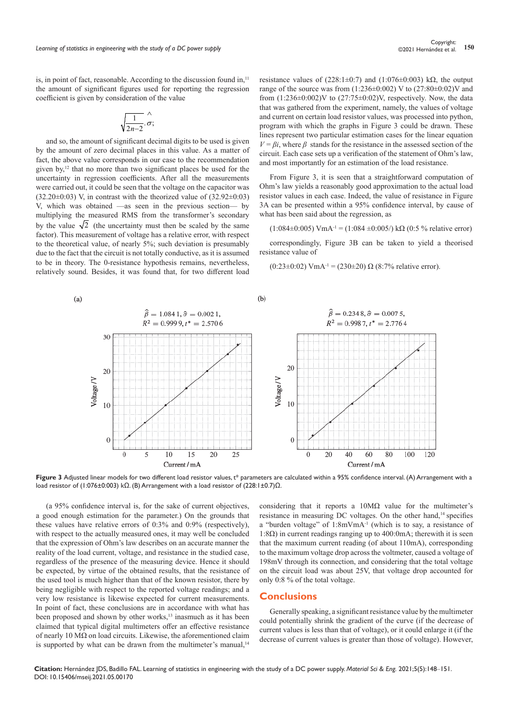is, in point of fact, reasonable. According to the discussion found in, $<sup>11</sup>$ </sup> the amount of significant figures used for reporting the regression coefficient is given by consideration of the value

$$
\sqrt{\frac{1}{2n-2}}.\overset{\wedge}{\sigma};
$$

and so, the amount of significant decimal digits to be used is given by the amount of zero decimal places in this value. As a matter of fact, the above value corresponds in our case to the recommendation given by,<sup>12</sup> that no more than two significant places be used for the uncertainty in regression coefficients. After all the measurements were carried out, it could be seen that the voltage on the capacitor was  $(32.20\pm0.03)$  V, in contrast with the theorized value of  $(32.92\pm0.03)$ V, which was obtained —as seen in the previous section— by multiplying the measured RMS from the transformer's secondary by the value  $\sqrt{2}$  (the uncertainty must then be scaled by the same factor). This measurement of voltage has a relative error, with respect to the theoretical value, of nearly 5%; such deviation is presumably due to the fact that the circuit is not totally conductive, as it is assumed to be in theory. The 0-resistance hypothesis remains, nevertheless, relatively sound. Besides, it was found that, for two different load

resistance values of  $(228:1\pm0:7)$  and  $(1:076\pm0:003)$  kΩ, the output range of the source was from  $(1:236 \pm 0:002)$  V to  $(27:80 \pm 0:02)$ V and from  $(1:236\pm0:002)$ V to  $(27:75\pm0:02)$ V, respectively. Now, the data that was gathered from the experiment, namely, the values of voltage and current on certain load resistor values, was processed into python, program with which the graphs in Figure 3 could be drawn. These lines represent two particular estimation cases for the linear equation  $V = \beta i$ , where  $\beta$  stands for the resistance in the assessed section of the circuit. Each case sets up a verification of the statement of Ohm's law, and most importantly for an estimation of the load resistance.

From Figure 3, it is seen that a straightforward computation of Ohm's law yields a reasonably good approximation to the actual load resistor values in each case. Indeed, the value of resistance in Figure 3A can be presented within a 95% confidence interval, by cause of what has been said about the regression, as

(1:084±0:005) VmA<sup>-1</sup> = (1:084 ±0:005/) kΩ (0:5 % relative error)

correspondingly, Figure 3B can be taken to yield a theorised resistance value of

(0:23±0:02) VmA<sup>-1</sup> = (230±20)  $\Omega$  (8:7% relative error).



Figure 3 Adjusted linear models for two different load resistor values, t\* parameters are calculated within a 95% confidence interval. (A) Arrangement with a load resistor of (1:076±0:003) kΩ. (B) Arrangement with a load resistor of (228:1±0.7)Ω.

(a 95% confidence interval is, for the sake of current objectives, a good enough estimation for the parameter.) On the grounds that these values have relative errors of 0:3% and 0:9% (respectively), with respect to the actually measured ones, it may well be concluded that the expression of Ohm's law describes on an accurate manner the reality of the load current, voltage, and resistance in the studied case, regardless of the presence of the measuring device. Hence it should be expected, by virtue of the obtained results, that the resistance of the used tool is much higher than that of the known resistor, there by being negligible with respect to the reported voltage readings; and a very low resistance is likewise expected for current measurements. In point of fact, these conclusions are in accordance with what has been proposed and shown by other works,<sup>13</sup> inasmuch as it has been claimed that typical digital multimeters offer an effective resistance of nearly 10 MΩ on load circuits. Likewise, the aforementioned claim is supported by what can be drawn from the multimeter's manual,<sup>14</sup>

considering that it reports a 10MΩ value for the multimeter's resistance in measuring DC voltages. On the other hand,<sup>14</sup> specifies a "burden voltage" of 1:8mVmA-1 (which is to say, a resistance of 1:8Ω) in current readings ranging up to 400:0mA; therewith it is seen that the maximum current reading (of about 110mA), corresponding to the maximum voltage drop across the voltmeter, caused a voltage of 198mV through its connection, and considering that the total voltage on the circuit load was about 25V, that voltage drop accounted for only 0:8 % of the total voltage.

### **Conclusions**

Generally speaking, a significant resistance value by the multimeter could potentially shrink the gradient of the curve (if the decrease of current values is less than that of voltage), or it could enlarge it (if the decrease of current values is greater than those of voltage). However,

**Citation:** Hernández JDS, Badillo FAL. Learning of statistics in engineering with the study of a DC power supply. *Material Sci & Eng.* 2021;5(5):148‒151. DOI: [10.15406/mseij.2021.05.00170](https://doi.org/10.15406/mseij.2021.05.00170)